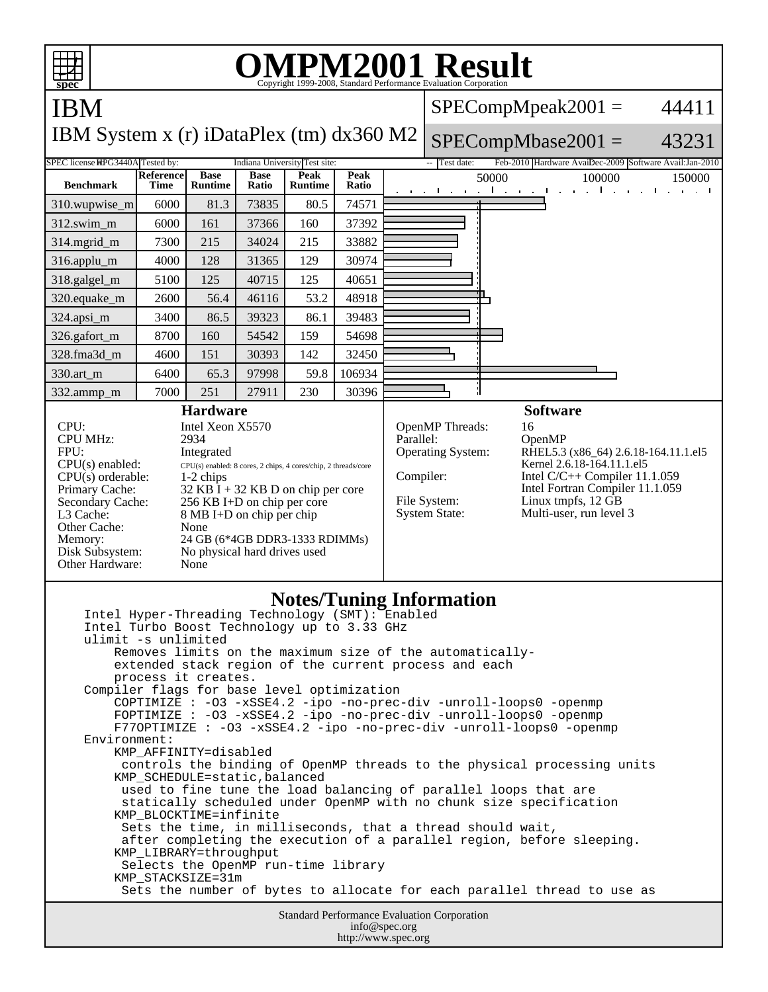| <b>OMPM2001 Result</b><br>Copyright 1999-2008, Standard Performance Evaluation Corporation<br>spec                                                                                                                                                                                                                                                                                                                                                                                                                                                                                                                                                                                                                                                                                                                                                                                                                                                                                                                                                                                                                                                                                                                                                                         |                   |                               |                      |                               |                     |           |                                                                                                                                                                                                                                                                                                        |
|----------------------------------------------------------------------------------------------------------------------------------------------------------------------------------------------------------------------------------------------------------------------------------------------------------------------------------------------------------------------------------------------------------------------------------------------------------------------------------------------------------------------------------------------------------------------------------------------------------------------------------------------------------------------------------------------------------------------------------------------------------------------------------------------------------------------------------------------------------------------------------------------------------------------------------------------------------------------------------------------------------------------------------------------------------------------------------------------------------------------------------------------------------------------------------------------------------------------------------------------------------------------------|-------------------|-------------------------------|----------------------|-------------------------------|---------------------|-----------|--------------------------------------------------------------------------------------------------------------------------------------------------------------------------------------------------------------------------------------------------------------------------------------------------------|
| <b>IBM</b>                                                                                                                                                                                                                                                                                                                                                                                                                                                                                                                                                                                                                                                                                                                                                                                                                                                                                                                                                                                                                                                                                                                                                                                                                                                                 |                   |                               |                      |                               |                     |           | $SPECompMpeak2001 =$<br>44411                                                                                                                                                                                                                                                                          |
| IBM System x (r) iDataPlex (tm) dx360 M2                                                                                                                                                                                                                                                                                                                                                                                                                                                                                                                                                                                                                                                                                                                                                                                                                                                                                                                                                                                                                                                                                                                                                                                                                                   |                   |                               |                      |                               |                     |           | $SPECompMbase2001 =$<br>43231                                                                                                                                                                                                                                                                          |
| SPEC license HPG3440A Tested by:                                                                                                                                                                                                                                                                                                                                                                                                                                                                                                                                                                                                                                                                                                                                                                                                                                                                                                                                                                                                                                                                                                                                                                                                                                           |                   |                               |                      | Indiana University Test site: |                     |           | -- Test date:<br>Feb-2010 Hardware AvaiDec-2009 Software Avail: Jan-2010                                                                                                                                                                                                                               |
| <b>Benchmark</b>                                                                                                                                                                                                                                                                                                                                                                                                                                                                                                                                                                                                                                                                                                                                                                                                                                                                                                                                                                                                                                                                                                                                                                                                                                                           | Reference<br>Time | <b>Base</b><br><b>Runtime</b> | <b>Base</b><br>Ratio | Peak<br><b>Runtime</b>        | Peak<br>Ratio       |           | 50000<br>100000<br>150000<br>all and a staff<br>and the company<br>$\mathbf{r}$<br>$\mathbf{I}$<br><b>Contract Contract Contract</b><br>$\mathbf{1}$<br>$\mathbf{u} = \mathbf{u}$ .                                                                                                                    |
| 310.wupwise_m                                                                                                                                                                                                                                                                                                                                                                                                                                                                                                                                                                                                                                                                                                                                                                                                                                                                                                                                                                                                                                                                                                                                                                                                                                                              | 6000              | 81.3                          | 73835                | 80.5                          | 74571               |           |                                                                                                                                                                                                                                                                                                        |
| 312.swim_m                                                                                                                                                                                                                                                                                                                                                                                                                                                                                                                                                                                                                                                                                                                                                                                                                                                                                                                                                                                                                                                                                                                                                                                                                                                                 | 6000              | 161                           | 37366                | 160                           | 37392               |           |                                                                                                                                                                                                                                                                                                        |
| 314.mgrid_m                                                                                                                                                                                                                                                                                                                                                                                                                                                                                                                                                                                                                                                                                                                                                                                                                                                                                                                                                                                                                                                                                                                                                                                                                                                                | 7300              | 215                           | 34024                | 215                           | 33882               |           |                                                                                                                                                                                                                                                                                                        |
| 316.applu_m                                                                                                                                                                                                                                                                                                                                                                                                                                                                                                                                                                                                                                                                                                                                                                                                                                                                                                                                                                                                                                                                                                                                                                                                                                                                | 4000              | 128                           | 31365                | 129                           | 30974               |           |                                                                                                                                                                                                                                                                                                        |
| 318.galgel_m                                                                                                                                                                                                                                                                                                                                                                                                                                                                                                                                                                                                                                                                                                                                                                                                                                                                                                                                                                                                                                                                                                                                                                                                                                                               | 5100              | 125                           | 40715                | 125                           | 40651               |           |                                                                                                                                                                                                                                                                                                        |
| 320.equake_m                                                                                                                                                                                                                                                                                                                                                                                                                                                                                                                                                                                                                                                                                                                                                                                                                                                                                                                                                                                                                                                                                                                                                                                                                                                               | 2600              | 56.4                          | 46116                | 53.2                          | 48918               |           |                                                                                                                                                                                                                                                                                                        |
| 324.apsi_m                                                                                                                                                                                                                                                                                                                                                                                                                                                                                                                                                                                                                                                                                                                                                                                                                                                                                                                                                                                                                                                                                                                                                                                                                                                                 | 3400              | 86.5                          | 39323                | 86.1                          | 39483               |           |                                                                                                                                                                                                                                                                                                        |
| 326.gafort_m                                                                                                                                                                                                                                                                                                                                                                                                                                                                                                                                                                                                                                                                                                                                                                                                                                                                                                                                                                                                                                                                                                                                                                                                                                                               | 8700              | 160                           | 54542                | 159                           | 54698               |           |                                                                                                                                                                                                                                                                                                        |
| 328.fma3d_m                                                                                                                                                                                                                                                                                                                                                                                                                                                                                                                                                                                                                                                                                                                                                                                                                                                                                                                                                                                                                                                                                                                                                                                                                                                                | 4600              | 151                           | 30393                | 142                           | 32450               |           |                                                                                                                                                                                                                                                                                                        |
| 330.art m                                                                                                                                                                                                                                                                                                                                                                                                                                                                                                                                                                                                                                                                                                                                                                                                                                                                                                                                                                                                                                                                                                                                                                                                                                                                  | 6400              | 65.3                          | 97998                | 59.8                          | 106934              |           |                                                                                                                                                                                                                                                                                                        |
| 332.ammp_m                                                                                                                                                                                                                                                                                                                                                                                                                                                                                                                                                                                                                                                                                                                                                                                                                                                                                                                                                                                                                                                                                                                                                                                                                                                                 | 7000              | 251<br><b>Hardware</b>        | 27911                | 230                           | 30396               |           | <b>Software</b>                                                                                                                                                                                                                                                                                        |
| CPU:<br>Intel Xeon X5570<br><b>CPU MHz:</b><br>2934<br>FPU:<br>Integrated<br>$CPU(s)$ enabled:<br>CPU(s) enabled: 8 cores, 2 chips, 4 cores/chip, 2 threads/core<br>$CPU(s)$ orderable:<br>1-2 chips<br>Primary Cache:<br>32 KB $\bar{I}$ + 32 KB D on chip per core<br>256 KB I+D on chip per core<br>Secondary Cache:<br>L3 Cache:<br>8 MB I+D on chip per chip<br>Other Cache:<br>None<br>24 GB (6*4GB DDR3-1333 RDIMMs)<br>Memory:<br>Disk Subsystem:<br>No physical hard drives used<br>Other Hardware:<br>None                                                                                                                                                                                                                                                                                                                                                                                                                                                                                                                                                                                                                                                                                                                                                       |                   |                               |                      |                               |                     | Parallel: | OpenMP Threads:<br>16<br>OpenMP<br>Operating System:<br>RHEL5.3 (x86_64) 2.6.18-164.11.1.el5<br>Kernel 2.6.18-164.11.1.el5<br>Compiler:<br>Intel $C/C++$ Compiler 11.1.059<br>Intel Fortran Compiler 11.1.059<br>Linux tmpfs, 12 GB<br>File System:<br><b>System State:</b><br>Multi-user, run level 3 |
| <b>Notes/Tuning Information</b><br>Intel Hyper-Threading Technology (SMT): Enabled<br>Intel Turbo Boost Technology up to 3.33 GHz<br>ulimit -s unlimited<br>Removes limits on the maximum size of the automatically-<br>extended stack region of the current process and each<br>process it creates.<br>Compiler flags for base level optimization<br>COPTIMIZE : -03 -xSSE4.2 -ipo -no-prec-div -unroll-loops0 -openmp<br>FOPTIMIZE : -03 -xSSE4.2 -ipo -no-prec-div -unroll-loops0 -openmp<br>F77OPTIMIZE : -03 -xSSE4.2 -ipo -no-prec-div -unroll-loops0 -openmp<br>Environment:<br>KMP AFFINITY=disabled<br>controls the binding of OpenMP threads to the physical processing units<br>KMP_SCHEDULE=static, balanced<br>used to fine tune the load balancing of parallel loops that are<br>statically scheduled under OpenMP with no chunk size specification<br>KMP_BLOCKTIME=infinite<br>Sets the time, in milliseconds, that a thread should wait,<br>after completing the execution of a parallel region, before sleeping.<br>KMP_LIBRARY=throughput<br>Selects the OpenMP run-time library<br>KMP_STACKSIZE=31m<br>Sets the number of bytes to allocate for each parallel thread to use as<br><b>Standard Performance Evaluation Corporation</b><br>info@spec.org |                   |                               |                      |                               |                     |           |                                                                                                                                                                                                                                                                                                        |
|                                                                                                                                                                                                                                                                                                                                                                                                                                                                                                                                                                                                                                                                                                                                                                                                                                                                                                                                                                                                                                                                                                                                                                                                                                                                            |                   |                               |                      |                               | http://www.spec.org |           |                                                                                                                                                                                                                                                                                                        |